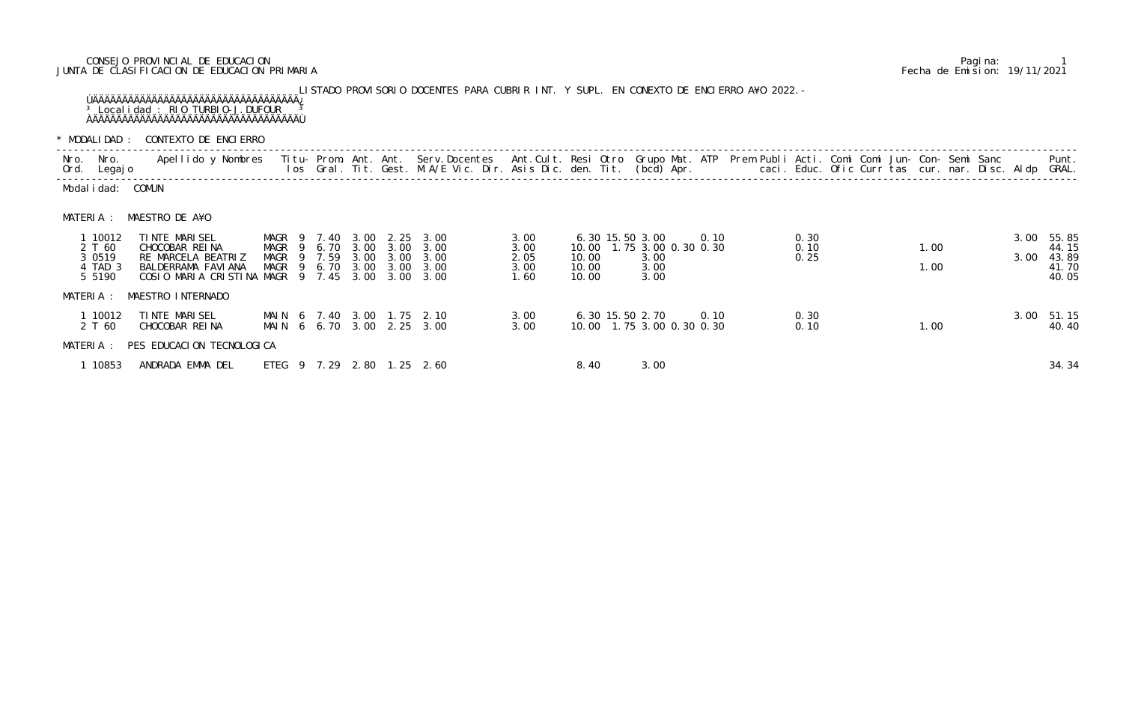## CONSEJO PROVINCIAL DE EDUCACION Pagina: 1 JUNTA DE CLASIFICACION DE EDUCACION PRIMARIA Fecha de Emision: 19/11/2021

## LISTADO PROVISORIO DOCENTES PARA CUBRIR INT. Y SUPL. EN CONEXTO DE ENCIERRO A¥O 2022.- ÚÄÄÄÄÄÄÄÄÄÄÄÄÄÄÄÄÄÄÄÄÄÄÄÄÄÄÄÄÄÄÄÄÄÄÄ¿ <sup>3</sup> Localidad : RIO TURBIO-J.DUFOUR <sup>3</sup> ÀÄÄÄÄÄÄÄÄÄÄÄÄÄÄÄÄÄÄÄÄÄÄÄÄÄÄÄÄÄÄÄÄÄÄÄÙ

\* MODALIDAD : CONTEXTO DE ENCIERRO

| Nro.      | Nro.<br>Ord. Legajo                                 | Apellido y Nombres                                                                                                                                                                                                                                                                                                                                                                   |                                                     |  |      |                      | Titu- Prom. Ant. Ant. Serv.Docentes Ant.Cult. Resi Otro Grupo Mat. ATP Prem Publi Acti. Comi Comi Jun- Con- Semi Sanc<br>los Gral. Tit. Gest. M.A/E Vic. Dir. Asis Dic. den. Tit. (bcd) Apr.        caci. Educ. Ofic Curr tas cur. nar. Disc. Aldp |                                      |                         |                                              |                      |      |                      |  |              |  |              | Punt.<br>GRAL.                            |
|-----------|-----------------------------------------------------|--------------------------------------------------------------------------------------------------------------------------------------------------------------------------------------------------------------------------------------------------------------------------------------------------------------------------------------------------------------------------------------|-----------------------------------------------------|--|------|----------------------|----------------------------------------------------------------------------------------------------------------------------------------------------------------------------------------------------------------------------------------------------|--------------------------------------|-------------------------|----------------------------------------------|----------------------|------|----------------------|--|--------------|--|--------------|-------------------------------------------|
|           | Modal i dad: COMUN                                  |                                                                                                                                                                                                                                                                                                                                                                                      |                                                     |  |      |                      |                                                                                                                                                                                                                                                    |                                      |                         |                                              |                      |      |                      |  |              |  |              |                                           |
| MATERIA : |                                                     | MAESTRO DE A¥O                                                                                                                                                                                                                                                                                                                                                                       |                                                     |  |      |                      |                                                                                                                                                                                                                                                    |                                      |                         |                                              |                      |      |                      |  |              |  |              |                                           |
|           | 1 10012<br>2 T 60<br>3 0 5 1 9<br>4 TAD 3<br>5 5190 | TINTE MARISEL<br>CHOCOBAR REINA<br>RE MARCELA BEATRIZ<br>BALDERRAMA FAVI ANA<br>COSIO MARIA CRISTINA MAGR 9 7.45 3.00 3.00 3.00                                                                                                                                                                                                                                                      | MAGR 9 6.70 3.00<br>MAGR 9 7.59<br>MAGR 9 6.70 3.00 |  | 3.00 | 3.00<br>3.00<br>3.00 | MAGR 9 7.40 3.00 2.25 3.00<br>3.00<br>3.00<br>3.00                                                                                                                                                                                                 | 3.00<br>3.00<br>2.05<br>3.00<br>1.60 | 10.00<br>10.00<br>10.00 | 6.30 15.50 3.00<br>10.00 1.75 3.00 0.30 0.30 | 3.00<br>3.00<br>3.00 | 0.10 | 0.30<br>0.10<br>0.25 |  | 1.00<br>1.00 |  | 3.00<br>3.00 | 55.85<br>44.15<br>43.89<br>41.70<br>40.05 |
| MATERIA : |                                                     | MAESTRO INTERNADO                                                                                                                                                                                                                                                                                                                                                                    |                                                     |  |      |                      |                                                                                                                                                                                                                                                    |                                      |                         |                                              |                      |      |                      |  |              |  |              |                                           |
|           | 1 10012<br>2 T 60                                   | TINTE MARISEL<br>CHOCOBAR REINA                                                                                                                                                                                                                                                                                                                                                      |                                                     |  |      |                      | MAIN 6 7.40 3.00 1.75 2.10<br>MAIN 6 6.70 3.00 2.25 3.00                                                                                                                                                                                           | 3.00<br>3.00                         |                         | 6.30 15.50 2.70<br>10.00 1.75 3.00 0.30 0.30 |                      | 0.10 | 0.30<br>0.10         |  | 1.00         |  |              | 3.00 51.15<br>40.40                       |
|           |                                                     | MATERIA : PES EDUCACION TECNOLOGICA                                                                                                                                                                                                                                                                                                                                                  |                                                     |  |      |                      |                                                                                                                                                                                                                                                    |                                      |                         |                                              |                      |      |                      |  |              |  |              |                                           |
|           |                                                     | $\overline{A}$ $\overline{A}$ $\overline{A}$ $\overline{C}$ $\overline{A}$ $\overline{A}$ $\overline{A}$ $\overline{A}$ $\overline{C}$ $\overline{A}$ $\overline{A}$ $\overline{C}$ $\overline{A}$ $\overline{C}$ $\overline{A}$ $\overline{C}$ $\overline{A}$ $\overline{C}$ $\overline{A}$ $\overline{C}$ $\overline{C}$ $\overline{A}$ $\overline{C}$ $\overline{C}$ $\overline{$ |                                                     |  |      |                      |                                                                                                                                                                                                                                                    |                                      |                         | $\sim$ $\sim$                                | $\sim$ $\sim$ $\sim$ |      |                      |  |              |  |              |                                           |

| Nro.<br>Ord. | Nro.<br>Legaj o                                  | Apellido y Nombres                                                                                               |                                                          |        |                              |                                      | Titu- Prom. Ant. Ant. Serv.Docentes Ant.Cult. Resi Otro Grupo Mat. ATP Prem Publi Acti. Comi Comi Jun- Con- Semi Sanc |                                      |                                  |                                                                |      |  |                      |  |              |  |              | Punt.<br>GRAL.                            |
|--------------|--------------------------------------------------|------------------------------------------------------------------------------------------------------------------|----------------------------------------------------------|--------|------------------------------|--------------------------------------|-----------------------------------------------------------------------------------------------------------------------|--------------------------------------|----------------------------------|----------------------------------------------------------------|------|--|----------------------|--|--------------|--|--------------|-------------------------------------------|
|              | Modal i dad: COMUN                               |                                                                                                                  |                                                          |        |                              |                                      |                                                                                                                       |                                      |                                  |                                                                |      |  |                      |  |              |  |              |                                           |
| MATERIA :    |                                                  | MAESTRO DE A¥O                                                                                                   |                                                          |        |                              |                                      |                                                                                                                       |                                      |                                  |                                                                |      |  |                      |  |              |  |              |                                           |
|              | 1 10012<br>2 T 60<br>3 0519<br>4 TAD 3<br>5 5190 | TINTE MARISEL<br>CHOCOBAR REINA<br>RE MARCELA BEATRIZ<br>BALDERRAMA FAVI ANA<br>COSIO MARIA CRISTINA MAGR 9 7.45 | MAGR<br>MAGR 9 6.70 3.00<br>MAGR 9 7.59<br>MAGR 9 6.70   | 9 7.40 | 3.00<br>3.00<br>3.00<br>3.00 | 2.25<br>3.00<br>3.00<br>3.00<br>3.00 | 3.00<br>3.00<br>3.00<br>3.00<br>3.00                                                                                  | 3.00<br>3.00<br>2.05<br>3.00<br>1.60 | 10.00<br>10.00<br>10.00<br>10.00 | 6.30 15.50 3.00<br>1.75 3.00 0.30 0.30<br>3.00<br>3.00<br>3.00 | 0.10 |  | 0.30<br>0.10<br>0.25 |  | 1.00<br>1.00 |  | 3.00<br>3.00 | 55.85<br>44.15<br>43.89<br>41.70<br>40.05 |
| MATERIA :    |                                                  | MAESTRO INTERNADO                                                                                                |                                                          |        |                              |                                      |                                                                                                                       |                                      |                                  |                                                                |      |  |                      |  |              |  |              |                                           |
|              | 1 10012<br>2 T 60                                | TINTE MARISEL<br>CHOCOBAR REINA                                                                                  | MAIN 6 7.40 3.00 1.75 2.10<br>MAIN 6 6.70 3.00 2.25 3.00 |        |                              |                                      |                                                                                                                       | 3.00<br>3.00                         |                                  | 6.30 15.50 2.70<br>10.00 1.75 3.00 0.30 0.30                   | 0.10 |  | 0.30<br>0.10         |  | 1.00         |  |              | 3.00 51.15<br>40.40                       |
|              | MATERIA :                                        | PES EDUCACION TECNOLOGICA                                                                                        |                                                          |        |                              |                                      |                                                                                                                       |                                      |                                  |                                                                |      |  |                      |  |              |  |              |                                           |
|              | 1 10853                                          | ANDRADA EMMA DEL                                                                                                 | ETEG 9 7.29 2.80 1.25 2.60                               |        |                              |                                      |                                                                                                                       |                                      | 8.40                             | 3.00                                                           |      |  |                      |  |              |  |              | 34.34                                     |